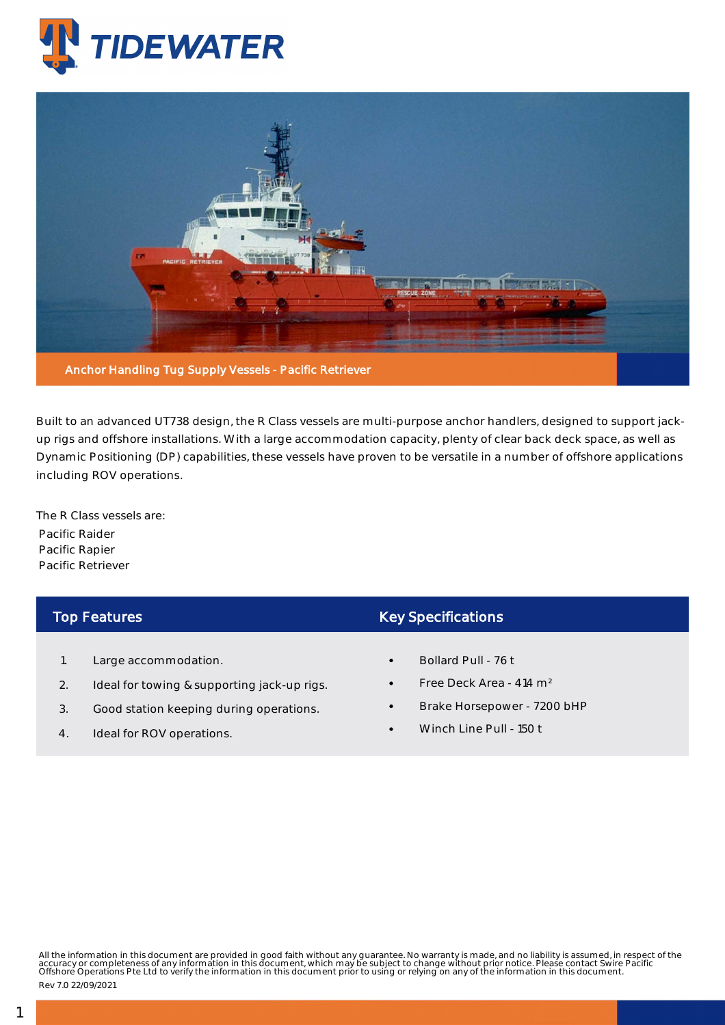



Built to an advanced UT738 design, the R Class vessels are multi-purpose anchor handlers, designed to support jackup rigs and offshore installations. With a large accommodation capacity, plenty of clear back deck space, as well as Dynamic Positioning (DP) capabilities, these vessels have proven to be versatile in a number of offshore applications including ROV operations.

The R Class vessels are: Pacific Raider Pacific Rapier Pacific Retriever

## Top Features

- 1. Large accommodation.
- 2. Ideal for towing & supporting jack-up rigs.
- 3. Good station keeping during operations.
- 4. Ideal for ROV operations.

## Key Specifications

- Bollard Pull 76 t
- Free Deck Area 414 m²
- Brake Horsepower 7200 bHP
- Winch Line Pull 150 t

All the information in this document are provided in good faith without any guarantee. No warranty is made, and no liability is assumed, in respect of the<br>accuracy or completeness of any information in this document, which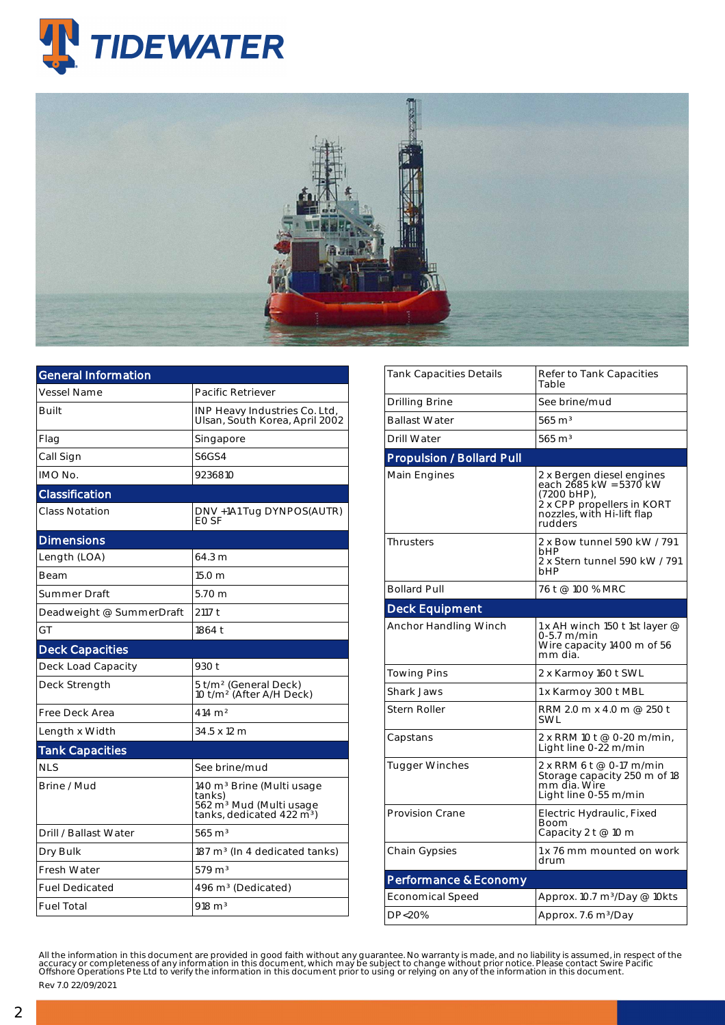



| Pacific Retriever                                                                                                               |  |  |  |  |
|---------------------------------------------------------------------------------------------------------------------------------|--|--|--|--|
| INP Heavy Industries Co. Ltd,<br>Ulsan, South Korea, April 2002                                                                 |  |  |  |  |
| Singapore                                                                                                                       |  |  |  |  |
| <b>S6GS4</b>                                                                                                                    |  |  |  |  |
| 9236810                                                                                                                         |  |  |  |  |
|                                                                                                                                 |  |  |  |  |
| DNV +1A1 Tug DYNPOS(AUTR)<br>EO SF                                                                                              |  |  |  |  |
|                                                                                                                                 |  |  |  |  |
| 64.3 m                                                                                                                          |  |  |  |  |
| 15.0 <sub>m</sub>                                                                                                               |  |  |  |  |
| 5.70 <sub>m</sub>                                                                                                               |  |  |  |  |
| 2117 t                                                                                                                          |  |  |  |  |
| 1864 t                                                                                                                          |  |  |  |  |
|                                                                                                                                 |  |  |  |  |
| 930 t                                                                                                                           |  |  |  |  |
| 5 t/m <sup>2</sup> (General Deck)<br>10 t/m <sup>2</sup> (After A/H Deck)                                                       |  |  |  |  |
| 414 m <sup>2</sup>                                                                                                              |  |  |  |  |
| 34.5 x 12 m                                                                                                                     |  |  |  |  |
|                                                                                                                                 |  |  |  |  |
| See brine/mud                                                                                                                   |  |  |  |  |
| 140 m <sup>3</sup> Brine (Multi usage<br>tanks)<br>562 m <sup>3</sup> Mud (Multi usage<br>tanks, dedicated 422 m <sup>3</sup> ) |  |  |  |  |
| $565 \; \mathrm{m}^3$                                                                                                           |  |  |  |  |
| $187 \text{ m}^3$ (In 4 dedicated tanks)                                                                                        |  |  |  |  |
| $579 \text{ m}^3$                                                                                                               |  |  |  |  |
| 496 m <sup>3</sup> (Dedicated)                                                                                                  |  |  |  |  |
| $918 \text{ m}^3$                                                                                                               |  |  |  |  |
|                                                                                                                                 |  |  |  |  |

| Tank Capacities Details          | Refer to Tank Capacities<br>Table                                                                                                         |  |  |  |  |  |  |  |
|----------------------------------|-------------------------------------------------------------------------------------------------------------------------------------------|--|--|--|--|--|--|--|
| Drilling Brine                   | See brine/mud                                                                                                                             |  |  |  |  |  |  |  |
| <b>Ballast Water</b>             | $565 \text{ m}^3$                                                                                                                         |  |  |  |  |  |  |  |
| Drill Water                      | $565 \text{ m}^3$                                                                                                                         |  |  |  |  |  |  |  |
| <b>Propulsion / Bollard Pull</b> |                                                                                                                                           |  |  |  |  |  |  |  |
| Main Engines                     | 2 x Bergen diesel engines<br>each 2685 kW = 5370 kW<br>(7200 bHP),<br>2 x CPP propellers in KORT<br>nozzles, with Hi-lift flap<br>rudders |  |  |  |  |  |  |  |
| <b>Thrusters</b>                 | 2 x Bow tunnel 590 kW / 791<br>bHP<br>2 x Stern tunnel 590 kW / 791<br>bHP                                                                |  |  |  |  |  |  |  |
| <b>Bollard Pull</b>              | 76 t @ 100 % MRC                                                                                                                          |  |  |  |  |  |  |  |
| <b>Deck Equipment</b>            |                                                                                                                                           |  |  |  |  |  |  |  |
| Anchor Handling Winch            | 1 x AH winch 150 t 1st layer @<br>0-5.7 m/min<br>Wire capacity 1400 m of 56<br>mm dia.                                                    |  |  |  |  |  |  |  |
| Towing Pins                      | 2 x Karmoy 160 t SWL                                                                                                                      |  |  |  |  |  |  |  |
| Shark Jaws                       | 1 x Karmoy 300 t MBL                                                                                                                      |  |  |  |  |  |  |  |
| <b>Stern Roller</b>              | RRM 2.0 m x 4.0 m @ 250 t<br><b>SWL</b>                                                                                                   |  |  |  |  |  |  |  |
| Capstans                         | 2 x RRM 10 t @ 0-20 m/min,<br>Light line 0-22 m/min                                                                                       |  |  |  |  |  |  |  |
| <b>Tugger Winches</b>            | 2 x RRM 6 t @ 0-17 m/min<br>Storage capacity 250 m of 18<br>mm dia. Wire<br>Light line 0-55 m/min                                         |  |  |  |  |  |  |  |
| <b>Provision Crane</b>           | Electric Hydraulic, Fixed<br>Boom<br>Capacity 2 t @ 10 m                                                                                  |  |  |  |  |  |  |  |
| <b>Chain Gypsies</b>             | 1 x 76 mm mounted on work<br>drum                                                                                                         |  |  |  |  |  |  |  |
| Performance & Economy            |                                                                                                                                           |  |  |  |  |  |  |  |
| <b>Economical Speed</b>          | Approx. 10.7 m <sup>3</sup> /Day @ 10kts                                                                                                  |  |  |  |  |  |  |  |
| DP<20%                           | Approx. 7.6 m <sup>3</sup> /Day                                                                                                           |  |  |  |  |  |  |  |

All the information in this document are provided in good faith without any guarantee. No warranty is made, and no liability is assumed, in respect of the<br>accuracy or completeness of any information in this document, which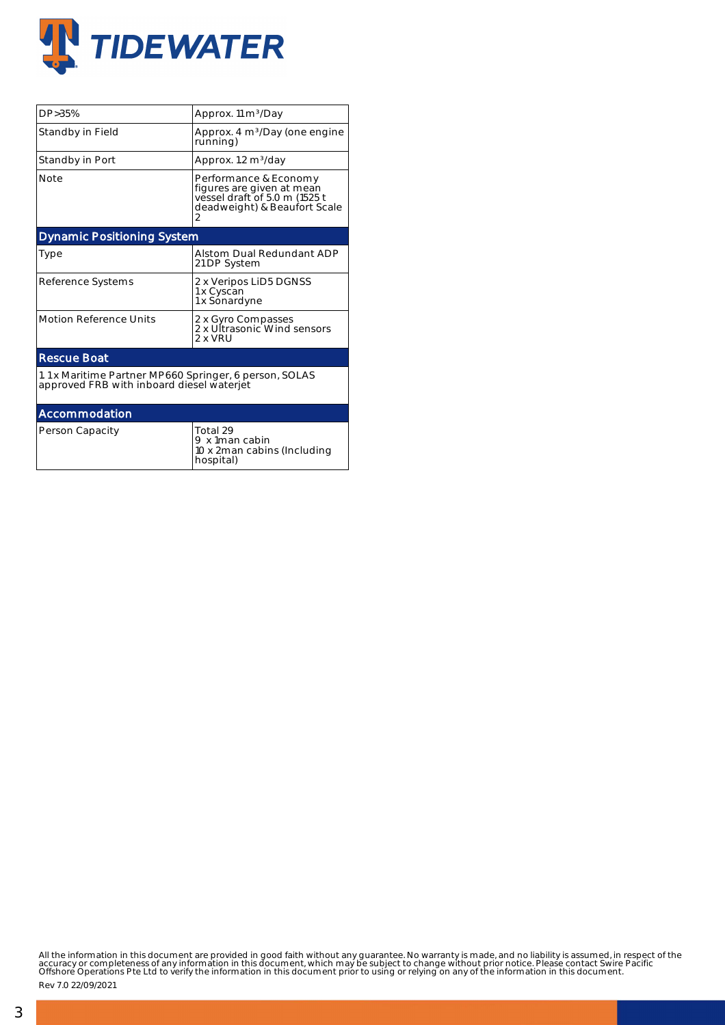

| DP > 35%                                                                                            | Approx. 11 m <sup>3</sup> /Day                                                                                      |  |  |  |  |  |  |
|-----------------------------------------------------------------------------------------------------|---------------------------------------------------------------------------------------------------------------------|--|--|--|--|--|--|
| Standby in Field                                                                                    | Approx. 4 m <sup>3</sup> /Day (one engine<br>running)                                                               |  |  |  |  |  |  |
| Standby in Port                                                                                     | Approx. 1.2 m <sup>3</sup> /day                                                                                     |  |  |  |  |  |  |
| Note                                                                                                | Performance & Economy<br>figures are given at mean<br>vessel draft of 5.0 m (1525 t<br>deadweight) & Beaufort Scale |  |  |  |  |  |  |
| <b>Dynamic Positioning System</b>                                                                   |                                                                                                                     |  |  |  |  |  |  |
| Type                                                                                                | Alstom Dual Redundant ADP<br>21 DP System                                                                           |  |  |  |  |  |  |
| Reference Systems                                                                                   | 2 x Veripos LiD5 DGNSS<br>1 x Cyscan<br>1 x Sonardyne                                                               |  |  |  |  |  |  |
| <b>Motion Reference Units</b>                                                                       | 2 x Gyro Compasses<br>2 x Ultrasonic Wind sensors<br>2 x VRU                                                        |  |  |  |  |  |  |
| <b>Rescue Boat</b>                                                                                  |                                                                                                                     |  |  |  |  |  |  |
| 1.1 x Maritime Partner MP660 Springer, 6 person, SOLAS<br>approved FRB with inboard diesel waterjet |                                                                                                                     |  |  |  |  |  |  |
| Accommodation                                                                                       |                                                                                                                     |  |  |  |  |  |  |
| Person Capacity                                                                                     | Total 29<br>9 x 1man cabin<br>10 x 2 man cabins (Including<br>hospital)                                             |  |  |  |  |  |  |

All the information in this document are provided in good faith without any guarantee. No warranty is made, and no liability is assumed, in respect of the<br>accuracy or completeness of any information in this document, which